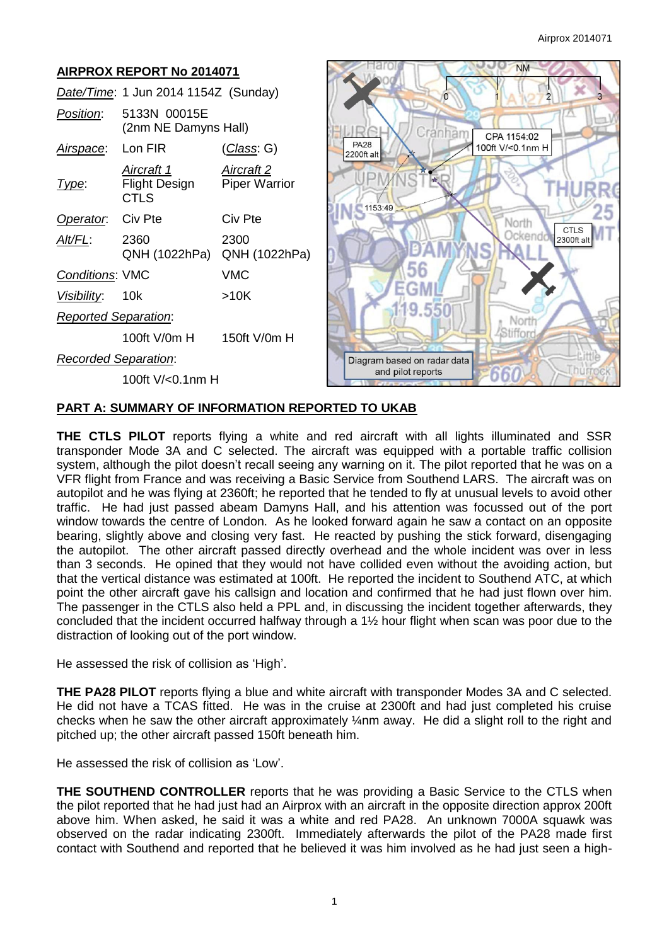#### **NM AIRPROX REPORT No 2014071** *Date/Time*: 1 Jun 2014 1154Z (Sunday) *Position*: 5133N 00015E (2nm NE Damyns Hall) Cranham CPA 1154:02 **PA28** *Airspace*: Lon FIR (*Class*: G) 100ft V/<0.1nm H 2200ft alt *Aircraft 1 Aircraft 2* **Type:** Flight Design Piper Warrior **CTLS** 1153:49 **Operator:** Civ Pte Civ Pte North **CTLS** Ockend *Alt/FL*: 2360 2300 2300ft alt QNH (1022hPa) QNH (1022hPa) 56 *Conditions*: VMC VMC GM *Visibility*: 10k >10K 19.550 *Reported Separation*: Norti Stiffor 100ft V/0m H 150ft V/0m H *Recorded Separation*: Diagram based on radar data and pilot reports 660 100ft V/<0.1nm H

# **PART A: SUMMARY OF INFORMATION REPORTED TO UKAB**

**THE CTLS PILOT** reports flying a white and red aircraft with all lights illuminated and SSR transponder Mode 3A and C selected. The aircraft was equipped with a portable traffic collision system, although the pilot doesn't recall seeing any warning on it. The pilot reported that he was on a VFR flight from France and was receiving a Basic Service from Southend LARS. The aircraft was on autopilot and he was flying at 2360ft; he reported that he tended to fly at unusual levels to avoid other traffic. He had just passed abeam Damyns Hall, and his attention was focussed out of the port window towards the centre of London. As he looked forward again he saw a contact on an opposite bearing, slightly above and closing very fast. He reacted by pushing the stick forward, disengaging the autopilot. The other aircraft passed directly overhead and the whole incident was over in less than 3 seconds. He opined that they would not have collided even without the avoiding action, but that the vertical distance was estimated at 100ft. He reported the incident to Southend ATC, at which point the other aircraft gave his callsign and location and confirmed that he had just flown over him. The passenger in the CTLS also held a PPL and, in discussing the incident together afterwards, they concluded that the incident occurred halfway through a 1½ hour flight when scan was poor due to the distraction of looking out of the port window.

He assessed the risk of collision as 'High'.

**THE PA28 PILOT** reports flying a blue and white aircraft with transponder Modes 3A and C selected. He did not have a TCAS fitted. He was in the cruise at 2300ft and had just completed his cruise checks when he saw the other aircraft approximately ¼nm away. He did a slight roll to the right and pitched up; the other aircraft passed 150ft beneath him.

He assessed the risk of collision as 'Low'.

**THE SOUTHEND CONTROLLER** reports that he was providing a Basic Service to the CTLS when the pilot reported that he had just had an Airprox with an aircraft in the opposite direction approx 200ft above him. When asked, he said it was a white and red PA28. An unknown 7000A squawk was observed on the radar indicating 2300ft. Immediately afterwards the pilot of the PA28 made first contact with Southend and reported that he believed it was him involved as he had just seen a high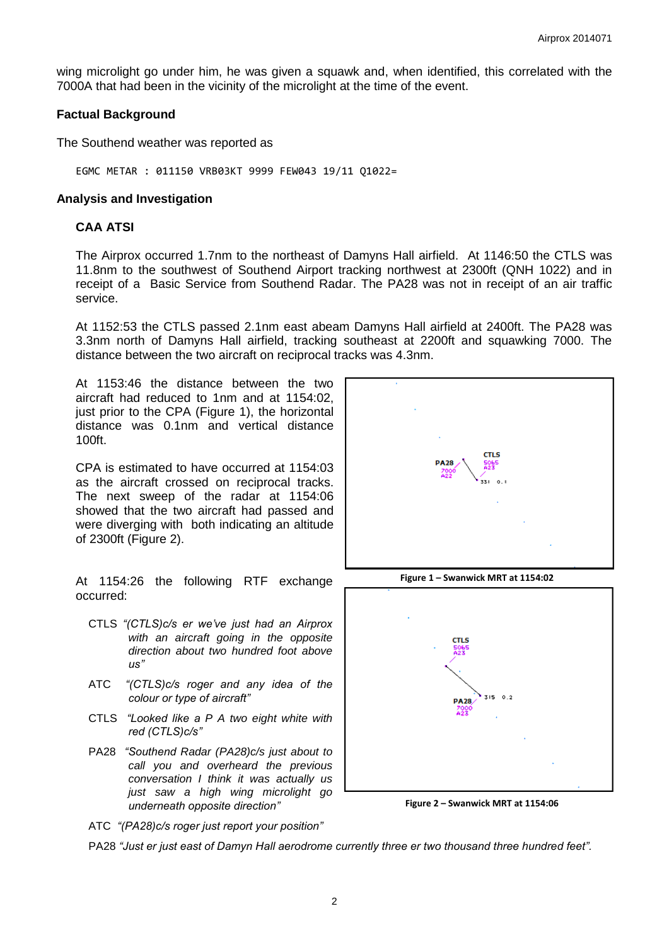wing microlight go under him, he was given a squawk and, when identified, this correlated with the 7000A that had been in the vicinity of the microlight at the time of the event.

#### **Factual Background**

The Southend weather was reported as

EGMC METAR : 011150 VRB03KT 9999 FEW043 19/11 Q1022=

#### **Analysis and Investigation**

### **CAA ATSI**

The Airprox occurred 1.7nm to the northeast of Damyns Hall airfield. At 1146:50 the CTLS was 11.8nm to the southwest of Southend Airport tracking northwest at 2300ft (QNH 1022) and in receipt of a Basic Service from Southend Radar. The PA28 was not in receipt of an air traffic service.

At 1152:53 the CTLS passed 2.1nm east abeam Damyns Hall airfield at 2400ft. The PA28 was 3.3nm north of Damyns Hall airfield, tracking southeast at 2200ft and squawking 7000. The distance between the two aircraft on reciprocal tracks was 4.3nm.

At 1153:46 the distance between the two aircraft had reduced to 1nm and at 1154:02, just prior to the CPA (Figure 1), the horizontal distance was 0.1nm and vertical distance 100ft.

CPA is estimated to have occurred at 1154:03 as the aircraft crossed on reciprocal tracks. The next sweep of the radar at 1154:06 showed that the two aircraft had passed and were diverging with both indicating an altitude of 2300ft (Figure 2).

At 1154:26 the following RTF exchange occurred:

- CTLS *"(CTLS)c/s er we've just had an Airprox with an aircraft going in the opposite direction about two hundred foot above us"*
- ATC *"(CTLS)c/s roger and any idea of the colour or type of aircraft"*
- CTLS *"Looked like a P A two eight white with red (CTLS)c/s"*
- PA28 *"Southend Radar (PA28)c/s just about to call you and overheard the previous conversation I think it was actually us just saw a high wing microlight go underneath opposite direction"*



**Figure 1 – Swanwick MRT at 1154:02**



**Figure 2 – Swanwick MRT at 1154:06**

ATC *"(PA28)c/s roger just report your position"*

PA28 *"Just er just east of Damyn Hall aerodrome currently three er two thousand three hundred feet".*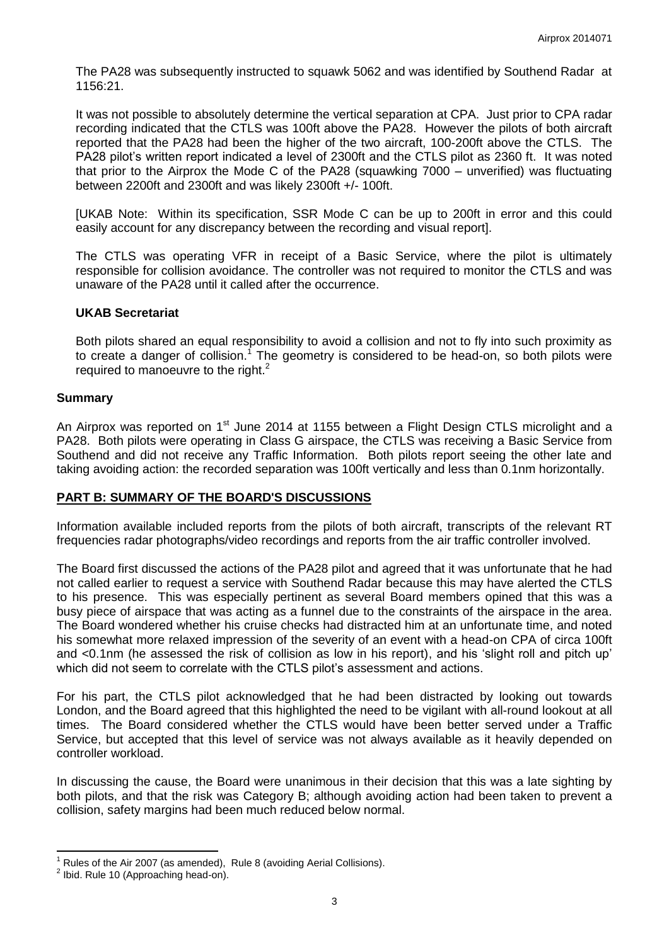The PA28 was subsequently instructed to squawk 5062 and was identified by Southend Radar at 1156:21.

It was not possible to absolutely determine the vertical separation at CPA. Just prior to CPA radar recording indicated that the CTLS was 100ft above the PA28. However the pilots of both aircraft reported that the PA28 had been the higher of the two aircraft, 100-200ft above the CTLS. The PA28 pilot's written report indicated a level of 2300ft and the CTLS pilot as 2360 ft. It was noted that prior to the Airprox the Mode C of the PA28 (squawking 7000 – unverified) was fluctuating between 2200ft and 2300ft and was likely 2300ft +/- 100ft.

[UKAB Note: Within its specification, SSR Mode C can be up to 200ft in error and this could easily account for any discrepancy between the recording and visual report].

The CTLS was operating VFR in receipt of a Basic Service, where the pilot is ultimately responsible for collision avoidance. The controller was not required to monitor the CTLS and was unaware of the PA28 until it called after the occurrence.

# **UKAB Secretariat**

Both pilots shared an equal responsibility to avoid a collision and not to fly into such proximity as to create a danger of collision.<sup>1</sup> The geometry is considered to be head-on, so both pilots were required to manoeuvre to the right.<sup>2</sup>

# **Summary**

An Airprox was reported on 1<sup>st</sup> June 2014 at 1155 between a Flight Design CTLS microlight and a PA28. Both pilots were operating in Class G airspace, the CTLS was receiving a Basic Service from Southend and did not receive any Traffic Information. Both pilots report seeing the other late and taking avoiding action: the recorded separation was 100ft vertically and less than 0.1nm horizontally.

# **PART B: SUMMARY OF THE BOARD'S DISCUSSIONS**

Information available included reports from the pilots of both aircraft, transcripts of the relevant RT frequencies radar photographs/video recordings and reports from the air traffic controller involved.

The Board first discussed the actions of the PA28 pilot and agreed that it was unfortunate that he had not called earlier to request a service with Southend Radar because this may have alerted the CTLS to his presence. This was especially pertinent as several Board members opined that this was a busy piece of airspace that was acting as a funnel due to the constraints of the airspace in the area. The Board wondered whether his cruise checks had distracted him at an unfortunate time, and noted his somewhat more relaxed impression of the severity of an event with a head-on CPA of circa 100ft and <0.1nm (he assessed the risk of collision as low in his report), and his 'slight roll and pitch up' which did not seem to correlate with the CTLS pilot's assessment and actions.

For his part, the CTLS pilot acknowledged that he had been distracted by looking out towards London, and the Board agreed that this highlighted the need to be vigilant with all-round lookout at all times. The Board considered whether the CTLS would have been better served under a Traffic Service, but accepted that this level of service was not always available as it heavily depended on controller workload.

In discussing the cause, the Board were unanimous in their decision that this was a late sighting by both pilots, and that the risk was Category B; although avoiding action had been taken to prevent a collision, safety margins had been much reduced below normal.

 $\overline{\phantom{a}}$ 

Rules of the Air 2007 (as amended), Rule 8 (avoiding Aerial Collisions).

 $2$  Ibid. Rule 10 (Approaching head-on).